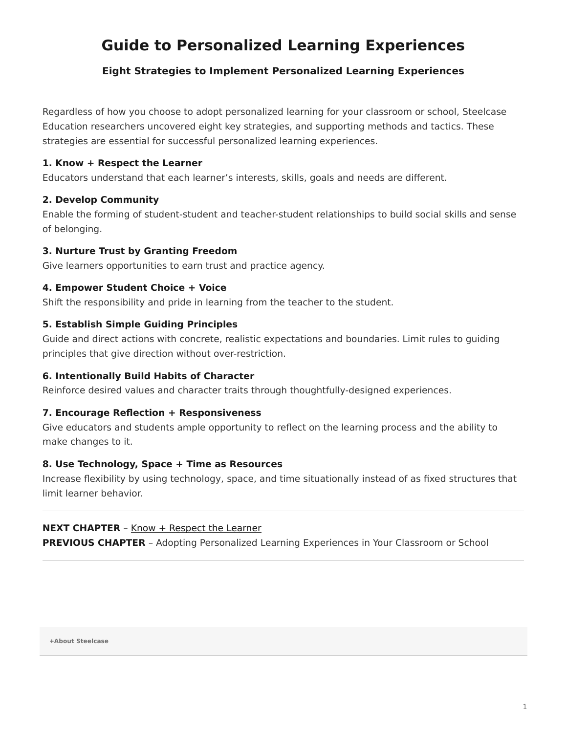# <span id="page-0-0"></span>**Guide to Personalized Learning Experiences**

## **Eight Strategies to Implement Personalized Learning Experiences**

Regardless of how you choose to adopt personalized learning for your classroom or school, Steelcase Education researchers uncovered eight key strategies, and supporting methods and tactics. These strategies are essential for successful personalized learning experiences.

## **1. Know + Respect the Learner**

Educators understand that each learner's interests, skills, goals and needs are different.

## **2. Develop Community**

Enable the forming of student-student and teacher-student relationships to build social skills and sense of belonging.

## **3. Nurture Trust by Granting Freedom**

Give learners opportunities to earn trust and practice agency.

## **4. Empower Student Choice + Voice**

Shift the responsibility and pride in learning from the teacher to the student.

## **5. Establish Simple Guiding Principles**

Guide and direct actions with concrete, realistic expectations and boundaries. Limit rules to guiding principles that give direction without over-restriction.

## **6. Intentionally Build Habits of Character**

Reinforce desired values and character traits through thoughtfully-designed experiences.

## **7. Encourage Reflection + Responsiveness**

Give educators and students ample opportunity to reflect on the learning process and the ability to make changes to it.

## **8. Use Technology, Space + Time as Resources**

Increase flexibility by using technology, space, and time situationally instead of as fixed structures that limit learner behavior.

## **NEXT CHAPTER** - [Know + Respect the Learner](https://www.steelcase.com/research/articles/guide-personalized-learning-experiences-respect-learner/)

**PREVIOUS CHAPTER** - Adopting Personalized Learning Experiences in Your Classroom or School